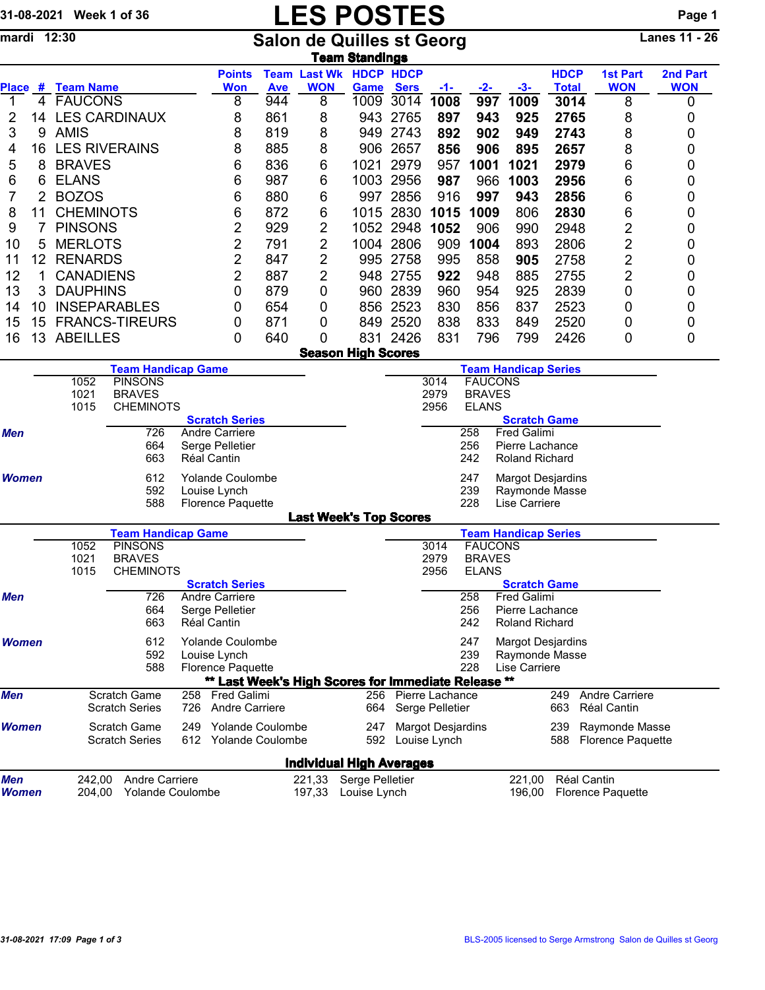## 31-08-2021 Week 1 of 36 LES POSTES POSTES Page 1<br>
mardi 12:30 Salon de Quilles st Georg Lanes 11 - 26

mardi 12:30 Salon de Quilles st Georg Lanes 11 - 26

|            | <b>ieam Standings</b>  |                   |                           |                                                |            |                           |                                                  |                        |                 |              |                 |              |                 |            |  |  |
|------------|------------------------|-------------------|---------------------------|------------------------------------------------|------------|---------------------------|--------------------------------------------------|------------------------|-----------------|--------------|-----------------|--------------|-----------------|------------|--|--|
|            |                        |                   |                           | <b>Points</b>                                  |            | <b>Team Last Wk</b>       | <b>HDCP HDCP</b>                                 |                        |                 |              |                 | <b>HDCP</b>  | <b>1st Part</b> | 2nd Part   |  |  |
|            |                        | Place # Team Name |                           | <b>Won</b>                                     | <b>Ave</b> | <b>WON</b>                | Game                                             | <b>Sers</b>            | $-1-$           | $-2-$        | $-3-$           | <b>Total</b> | <b>WON</b>      | <b>WON</b> |  |  |
|            | 4                      | <b>FAUCONS</b>    |                           | 8                                              | 944        | 8                         | 1009                                             | 3014                   | 1008            | 997          | 1009            | 3014         | 8               | 0          |  |  |
|            | 14                     |                   | <b>LES CARDINAUX</b>      | 8                                              | 861        | 8                         | 943                                              | 2765                   | 897             | 943          | 925             | 2765         | 8               | 0          |  |  |
| 3          | 9                      | <b>AMIS</b>       |                           | 8                                              | 819        | 8                         | 949                                              | 2743                   | 892             | 902          | 949             | 2743         | 8               | 0          |  |  |
| 4          | 16                     |                   | <b>LES RIVERAINS</b>      | 8                                              | 885        | 8                         | 906                                              | 2657                   | 856             | 906          | 895             | 2657         | 8               | 0          |  |  |
| 5          | 8                      | <b>BRAVES</b>     |                           | 6                                              | 836        | 6                         | 1021                                             | 2979                   | 957             | 1001         | 1021            | 2979         | 6               | 0          |  |  |
| 6          | 6                      | <b>ELANS</b>      |                           | 6                                              | 987        | 6                         | 1003                                             | 2956                   | 987             | 966          | 1003            | 2956         | 6               | 0          |  |  |
| 7          | $\overline{2}$         | <b>BOZOS</b>      | 6                         | 880                                            | 6          | 997                       | 2856                                             | 916                    | 997             | 943          | 2856            | 6            | 0               |            |  |  |
| 8          |                        | <b>CHEMINOTS</b>  |                           | 6                                              | 872        | 6                         | 1015                                             | 2830                   | 1015            | 1009         | 806             | 2830         | 6               | 0          |  |  |
| 9          |                        | <b>PINSONS</b>    |                           | 2                                              | 929        | 2                         | 1052                                             | 2948                   | 1052            | 906          | 990             | 2948         | $\overline{2}$  | 0          |  |  |
| 10         | 5                      | <b>MERLOTS</b>    |                           | 2                                              | 791        | 2                         | 1004                                             | 2806                   | 909             | 1004         | 893             | 2806         | $\overline{2}$  | 0          |  |  |
| 11         | 12                     | <b>RENARDS</b>    |                           | $\overline{2}$                                 | 847        | 2                         | 995                                              | 2758                   | 995             | 858          | 905             | 2758         | $\overline{2}$  | 0          |  |  |
| 12         |                        | <b>CANADIENS</b>  |                           | 2                                              | 887        | 2                         | 948                                              | 2755                   | 922             | 948          | 885             | 2755         | $\overline{2}$  | 0          |  |  |
| 13         | 3                      | <b>DAUPHINS</b>   |                           | 0                                              | 879        | 0                         | 960                                              | 2839                   | 960             | 954          | 925             | 2839         | $\overline{0}$  | 0          |  |  |
| 14         | 10                     |                   | <b>INSEPARABLES</b>       | 0                                              | 654        | 0                         | 856                                              | 2523                   | 830             | 856          | 837             | 2523         | 0               | 0          |  |  |
| 15         | 15                     |                   | <b>FRANCS-TIREURS</b>     | 0                                              | 871        | 0                         | 849                                              | 2520                   | 838             | 833          | 849             | 2520         | 0               | 0          |  |  |
| 16         | 13                     | <b>ABEILLES</b>   |                           | 0                                              | 640        | 0                         | 831                                              | 2426                   | 831             | 796          | 799             | 2426         | 0               | 0          |  |  |
|            |                        |                   |                           |                                                |            | <b>Season High Scores</b> |                                                  |                        |                 |              |                 |              |                 |            |  |  |
|            |                        |                   | <b>Team Handicap Game</b> |                                                |            |                           | <b>Team Handicap Series</b>                      |                        |                 |              |                 |              |                 |            |  |  |
|            | <b>PINSONS</b><br>1052 |                   |                           |                                                |            |                           |                                                  | <b>FAUCONS</b><br>3014 |                 |              |                 |              |                 |            |  |  |
|            |                        | 1021              | <b>BRAVES</b>             |                                                |            |                           | 2979<br><b>BRAVES</b>                            |                        |                 |              |                 |              |                 |            |  |  |
|            |                        | 1015              | <b>CHEMINOTS</b>          |                                                |            |                           |                                                  |                        | 2956            | <b>ELANS</b> |                 |              |                 |            |  |  |
| <b>Men</b> |                        |                   | 726                       | <b>Scratch Series</b><br><b>Andre Carriere</b> |            |                           | <b>Scratch Game</b><br><b>Fred Galimi</b><br>258 |                        |                 |              |                 |              |                 |            |  |  |
|            |                        |                   | 664                       | Serge Pelletier                                |            |                           |                                                  |                        |                 | 256          | Pierre Lachance |              |                 |            |  |  |
|            |                        |                   | $\sim$ $\sim$             |                                                |            |                           |                                                  |                        | $\sim$ . $\sim$ | -----        |                 |              |                 |            |  |  |

|              |                                                                            | 663                                          | Réal Cantin                                                         |                                                     |                                 |                                          | 242                                                         | <b>Roland Richard</b>                                          |            |                                            |
|--------------|----------------------------------------------------------------------------|----------------------------------------------|---------------------------------------------------------------------|-----------------------------------------------------|---------------------------------|------------------------------------------|-------------------------------------------------------------|----------------------------------------------------------------|------------|--------------------------------------------|
| <b>Women</b> |                                                                            | 612<br>592<br>588                            | <b>Yolande Coulombe</b><br>Louise Lynch<br><b>Florence Paquette</b> |                                                     |                                 | 247<br>239<br>228                        | <b>Margot Desjardins</b><br>Raymonde Masse<br>Lise Carriere |                                                                |            |                                            |
|              |                                                                            |                                              |                                                                     |                                                     | <b>Last Week's Top Scores</b>   |                                          |                                                             |                                                                |            |                                            |
|              |                                                                            | <b>Team Handicap Game</b>                    |                                                                     |                                                     |                                 |                                          |                                                             | <b>Team Handicap Series</b>                                    |            |                                            |
|              | 1052<br>1021                                                               | <b>PINSONS</b><br><b>BRAVES</b>              |                                                                     |                                                     |                                 | 3014<br>2979                             | <b>BRAVES</b>                                               | <b>FAUCONS</b>                                                 |            |                                            |
|              | 1015                                                                       | <b>CHEMINOTS</b>                             |                                                                     |                                                     |                                 | 2956                                     | <b>ELANS</b>                                                |                                                                |            |                                            |
|              |                                                                            |                                              | <b>Scratch Series</b>                                               |                                                     |                                 |                                          |                                                             | <b>Scratch Game</b>                                            |            |                                            |
| <b>Men</b>   |                                                                            | 726<br>664<br>663                            | Andre Carriere<br>Serge Pelletier<br>Réal Cantin                    |                                                     |                                 |                                          | 258<br>256<br>242                                           | <b>Fred Galimi</b><br>Pierre Lachance<br><b>Roland Richard</b> |            |                                            |
| <b>Women</b> | 612<br>Yolande Coulombe<br>592<br>Louise Lynch<br>588<br>Florence Paquette |                                              |                                                                     |                                                     |                                 |                                          | 247<br>239<br>228                                           | Margot Desjardins<br>Raymonde Masse<br>Lise Carriere           |            |                                            |
|              |                                                                            |                                              |                                                                     | ** Last Week's High Scores for Immediate Release ** |                                 |                                          |                                                             |                                                                |            |                                            |
| <b>Men</b>   |                                                                            | Scratch Game<br><b>Scratch Series</b>        | 258<br><b>Fred Galimi</b><br>726                                    | Andre Carriere                                      | 256<br>664                      | Pierre Lachance<br>Serge Pelletier       |                                                             |                                                                | 249<br>663 | Andre Carriere<br>Réal Cantin              |
| <b>Women</b> |                                                                            | <b>Scratch Game</b><br><b>Scratch Series</b> | 249<br>612                                                          | Yolande Coulombe<br><b>Yolande Coulombe</b>         | 247<br>592                      | <b>Margot Desjardins</b><br>Louise Lynch |                                                             |                                                                | 239<br>588 | Raymonde Masse<br><b>Florence Paquette</b> |
|              |                                                                            |                                              |                                                                     |                                                     | <b>Individual High Averages</b> |                                          |                                                             |                                                                |            |                                            |
| <b>Men</b>   | 242.00                                                                     | Andre Carriere                               |                                                                     | 221,33                                              | Serge Pelletier                 |                                          |                                                             | 221,00                                                         |            | Réal Cantin                                |
| <b>Women</b> | 204.00                                                                     | <b>Yolande Coulombe</b>                      |                                                                     | 197,33                                              | Louise Lynch                    |                                          |                                                             | 196,00                                                         |            | <b>Florence Paquette</b>                   |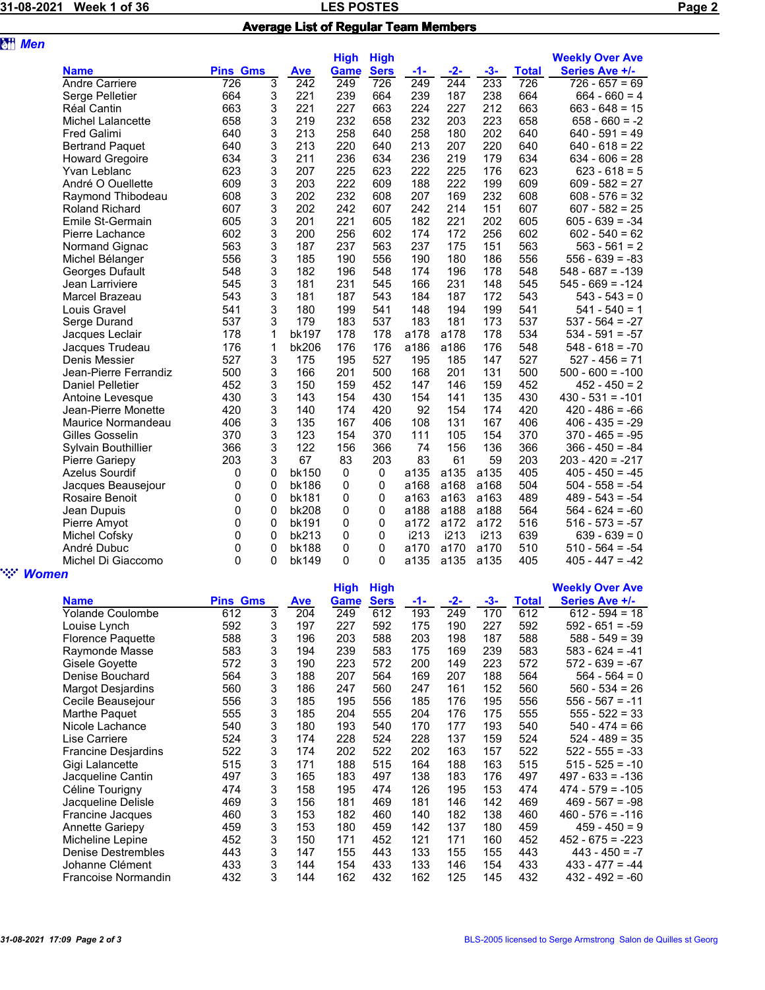|--|--|

## **LES POSTES** PAGE 2 Average List of Regular Team Members

| <b>att</b> Men |                          |                 |   |              |             |             |      |              |       |              |                        |
|----------------|--------------------------|-----------------|---|--------------|-------------|-------------|------|--------------|-------|--------------|------------------------|
|                |                          |                 |   |              | <b>High</b> | <b>High</b> |      |              |       |              | <b>Weekly Over Ave</b> |
|                | <b>Name</b>              | <b>Pins Gms</b> |   | <b>Ave</b>   | <b>Game</b> | <b>Sers</b> | -1-  | $-2-$        | $-3-$ | <b>Total</b> | Series Ave +/-         |
|                | <b>Andre Carriere</b>    | 726             | 3 | 242          | 249         | 726         | 249  | $\sqrt{244}$ | 233   | 726          | $726 - 657 = 69$       |
|                | Serge Pelletier          | 664             | 3 | 221          | 239         | 664         | 239  | 187          | 238   | 664          | $664 - 660 = 4$        |
|                | <b>Réal Cantin</b>       | 663             | 3 | 221          | 227         | 663         | 224  | 227          | 212   | 663          | $663 - 648 = 15$       |
|                | <b>Michel Lalancette</b> | 658             | 3 | 219          | 232         | 658         | 232  | 203          | 223   | 658          | $658 - 660 = -2$       |
|                | <b>Fred Galimi</b>       | 640             | 3 | 213          | 258         | 640         | 258  | 180          | 202   | 640          | $640 - 591 = 49$       |
|                | <b>Bertrand Paquet</b>   | 640             | 3 | 213          | 220         | 640         | 213  | 207          | 220   | 640          | $640 - 618 = 22$       |
|                | <b>Howard Gregoire</b>   | 634             | 3 | 211          | 236         | 634         | 236  | 219          | 179   | 634          | $634 - 606 = 28$       |
|                | Yvan Leblanc             | 623             | 3 | 207          | 225         | 623         | 222  | 225          | 176   | 623          | $623 - 618 = 5$        |
|                | André O Ouellette        | 609             | 3 | 203          | 222         | 609         | 188  | 222          | 199   | 609          | $609 - 582 = 27$       |
|                | Raymond Thibodeau        | 608             | 3 | 202          | 232         | 608         | 207  | 169          | 232   | 608          | $608 - 576 = 32$       |
|                | <b>Roland Richard</b>    | 607             | 3 | 202          | 242         | 607         | 242  | 214          | 151   | 607          | $607 - 582 = 25$       |
|                | Emile St-Germain         | 605             | 3 | 201          | 221         | 605         | 182  | 221          | 202   | 605          | $605 - 639 = -34$      |
|                | Pierre Lachance          | 602             | 3 | 200          | 256         | 602         | 174  | 172          | 256   | 602          | $602 - 540 = 62$       |
|                | Normand Gignac           | 563             | 3 | 187          | 237         | 563         | 237  | 175          | 151   | 563          | $563 - 561 = 2$        |
|                | Michel Bélanger          | 556             | 3 | 185          | 190         | 556         | 190  | 180          | 186   | 556          | $556 - 639 = -83$      |
|                | Georges Dufault          | 548             | 3 | 182          | 196         | 548         | 174  | 196          | 178   | 548          | $548 - 687 = -139$     |
|                | Jean Larriviere          | 545             | 3 | 181          | 231         | 545         | 166  | 231          | 148   | 545          | $545 - 669 = -124$     |
|                | Marcel Brazeau           | 543             | 3 | 181          | 187         | 543         | 184  | 187          | 172   | 543          | $543 - 543 = 0$        |
|                | Louis Gravel             | 541             | 3 | 180          | 199         | 541         | 148  | 194          | 199   | 541          | $541 - 540 = 1$        |
|                | Serge Durand             | 537             | 3 | 179          | 183         | 537         | 183  | 181          | 173   | 537          | $537 - 564 = -27$      |
|                | Jacques Leclair          | 178             | 1 | <b>bk197</b> | 178         | 178         | a178 | a178         | 178   | 534          | $534 - 591 = -57$      |
|                | Jacques Trudeau          | 176             | 1 | bk206        | 176         | 176         | a186 | a186         | 176   | 548          | $548 - 618 = -70$      |
|                | Denis Messier            | 527             | 3 | 175          | 195         | 527         | 195  | 185          | 147   | 527          | $527 - 456 = 71$       |
|                | Jean-Pierre Ferrandiz    | 500             | 3 | 166          | 201         | 500         | 168  | 201          | 131   | 500          | $500 - 600 = -100$     |
|                | <b>Daniel Pelletier</b>  | 452             | 3 | 150          | 159         | 452         | 147  | 146          | 159   | 452          | $452 - 450 = 2$        |
|                | Antoine Levesque         | 430             | 3 | 143          | 154         | 430         | 154  | 141          | 135   | 430          | $430 - 531 = -101$     |
|                | Jean-Pierre Monette      | 420             | 3 | 140          | 174         | 420         | 92   | 154          | 174   | 420          | $420 - 486 = -66$      |
|                | Maurice Normandeau       | 406             | 3 | 135          | 167         | 406         | 108  | 131          | 167   | 406          | $406 - 435 = -29$      |
|                | Gilles Gosselin          | 370             | 3 | 123          | 154         | 370         | 111  | 105          | 154   | 370          | $370 - 465 = -95$      |
|                | Sylvain Bouthillier      | 366             | 3 | 122          | 156         | 366         | 74   | 156          | 136   | 366          | $366 - 450 = -84$      |
|                | Pierre Gariepy           | 203             | 3 | 67           | 83          | 203         | 83   | 61           | 59    | 203          | $203 - 420 = -217$     |
|                | Azelus Sourdif           | 0               | 0 | bk150        | 0           | 0           | a135 | a135         | a135  | 405          | $405 - 450 = -45$      |
|                | Jacques Beausejour       | 0               | 0 | bk186        | 0           | 0           | a168 | a168         | a168  | 504          | $504 - 558 = -54$      |
|                | Rosaire Benoit           | 0               | 0 | bk181        | 0           | 0           | a163 | a163         | a163  | 489          | $489 - 543 = -54$      |
|                | Jean Dupuis              | 0               | 0 | bk208        | $\mathbf 0$ | 0           | a188 | a188         | a188  | 564          | $564 - 624 = -60$      |
|                | Pierre Amyot             | 0               | 0 | bk191        | 0           | 0           | a172 | a172         | a172  | 516          | $516 - 573 = -57$      |
|                | Michel Cofsky            | 0               | 0 | bk213        | 0           | 0           | i213 | i213         | i213  | 639          | $639 - 639 = 0$        |
|                | André Dubuc              | 0               | 0 | <b>bk188</b> | 0           | 0           | a170 | a170         | a170  | 510          | $510 - 564 = -54$      |
|                | Michel Di Giaccomo       | $\Omega$        | 0 | bk149        | $\Omega$    | 0           | a135 | a135         | a135  | 405          | $405 - 447 = -42$      |
| <b>Women</b>   |                          |                 |   |              |             |             |      |              |       |              |                        |
|                |                          |                 |   |              |             |             |      |              |       |              |                        |

|                          |                 |   |            | <b>High</b> | <b>High</b> |     |       |     |       | <b>Weekly Over Ave</b> |
|--------------------------|-----------------|---|------------|-------------|-------------|-----|-------|-----|-------|------------------------|
| <b>Name</b>              | <b>Pins Gms</b> |   | <b>Ave</b> | Game        | <b>Sers</b> | -1- | $-2-$ | -3- | Total | Series Ave +/-         |
| Yolande Coulombe         | 612             | 3 | 204        | 249         | 612         | 193 | 249   | 170 | 612   | $612 - 594 = 18$       |
| Louise Lynch             | 592             | 3 | 197        | 227         | 592         | 175 | 190   | 227 | 592   | $592 - 651 = -59$      |
| <b>Florence Paquette</b> | 588             | 3 | 196        | 203         | 588         | 203 | 198   | 187 | 588   | $588 - 549 = 39$       |
| Raymonde Masse           | 583             | 3 | 194        | 239         | 583         | 175 | 169   | 239 | 583   | $583 - 624 = -41$      |
| Gisele Goyette           | 572             | 3 | 190        | 223         | 572         | 200 | 149   | 223 | 572   | $572 - 639 = -67$      |
| Denise Bouchard          | 564             | 3 | 188        | 207         | 564         | 169 | 207   | 188 | 564   | $564 - 564 = 0$        |
| <b>Margot Desjardins</b> | 560             | 3 | 186        | 247         | 560         | 247 | 161   | 152 | 560   | $560 - 534 = 26$       |
| Cecile Beausejour        | 556             | 3 | 185        | 195         | 556         | 185 | 176   | 195 | 556   | $556 - 567 = -11$      |
| Marthe Paquet            | 555             | 3 | 185        | 204         | 555         | 204 | 176   | 175 | 555   | $555 - 522 = 33$       |
| Nicole Lachance          | 540             | 3 | 180        | 193         | 540         | 170 | 177   | 193 | 540   | $540 - 474 = 66$       |
| Lise Carriere            | 524             | 3 | 174        | 228         | 524         | 228 | 137   | 159 | 524   | $524 - 489 = 35$       |
| Francine Desjardins      | 522             | 3 | 174        | 202         | 522         | 202 | 163   | 157 | 522   | $522 - 555 = -33$      |
| Gigi Lalancette          | 515             | 3 | 171        | 188         | 515         | 164 | 188   | 163 | 515   | $515 - 525 = -10$      |
| Jacqueline Cantin        | 497             | 3 | 165        | 183         | 497         | 138 | 183   | 176 | 497   | $497 - 633 = -136$     |
| Céline Tourigny          | 474             | 3 | 158        | 195         | 474         | 126 | 195   | 153 | 474   | $474 - 579 = -105$     |
| Jacqueline Delisle       | 469             | 3 | 156        | 181         | 469         | 181 | 146   | 142 | 469   | $469 - 567 = -98$      |
| Francine Jacques         | 460             | 3 | 153        | 182         | 460         | 140 | 182   | 138 | 460   | $460 - 576 = -116$     |
| <b>Annette Gariepy</b>   | 459             | 3 | 153        | 180         | 459         | 142 | 137   | 180 | 459   | $459 - 450 = 9$        |
| Micheline Lepine         | 452             | 3 | 150        | 171         | 452         | 121 | 171   | 160 | 452   | $452 - 675 = -223$     |
| Denise Destrembles       | 443             | 3 | 147        | 155         | 443         | 133 | 155   | 155 | 443   | $443 - 450 = -7$       |
| Johanne Clément          | 433             | 3 | 144        | 154         | 433         | 133 | 146   | 154 | 433   | $433 - 477 = -44$      |
| Francoise Normandin      | 432             | 3 | 144        | 162         | 432         | 162 | 125   | 145 | 432   | $432 - 492 = -60$      |